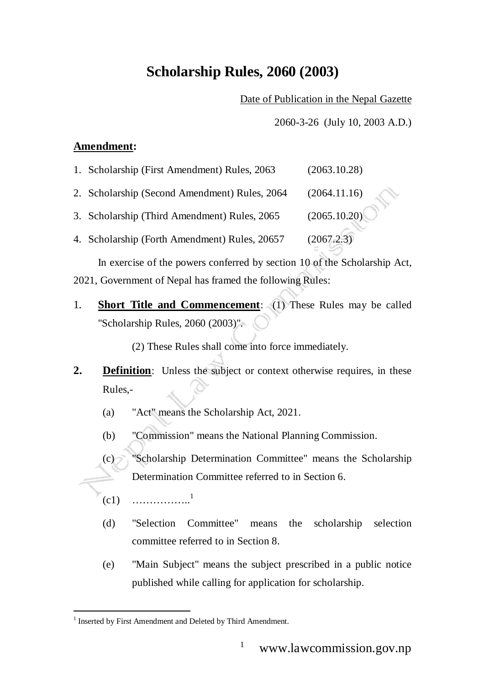# **Scholarship Rules, 2060 (2003)**

Date of Publication in the Nepal Gazette

2060-3-26 (July 10, 2003 A.D.)

## **Amendment:**

1. Scholarship (First Amendment) Rules, 2063 (2063.10.28)

2. Scholarship (Second Amendment) Rules, 2064 (2064.11.16)

3. Scholarship (Third Amendment) Rules, 2065 (2065.10.20)

4. Scholarship (Forth Amendment) Rules, 20657 (2067.2.3)

In exercise of the powers conferred by section 10 of the Scholarship Act, 2021, Government of Nepal has framed the following Rules:

1. **Short Title and Commencement**: (1) These Rules may be called "Scholarship Rules, 2060 (2003)".

(2) These Rules shall come into force immediately.

- **2. Definition**: Unless the subject or context otherwise requires, in these Rules,-
	- (a) "Act" means the Scholarship Act, 2021.
	- (b) "Commission" means the National Planning Commission.

(c) "Scholarship Determination Committee" means the Scholarship Determination Committee referred to in Section 6.

 $(c1)$  ………………<sup>1</sup>

- (d) "Selection Committee" means the scholarship selection committee referred to in Section 8.
- (e) "Main Subject" means the subject prescribed in a public notice published while calling for application for scholarship.

<sup>&</sup>lt;sup>1</sup> Inserted by First Amendment and Deleted by Third Amendment.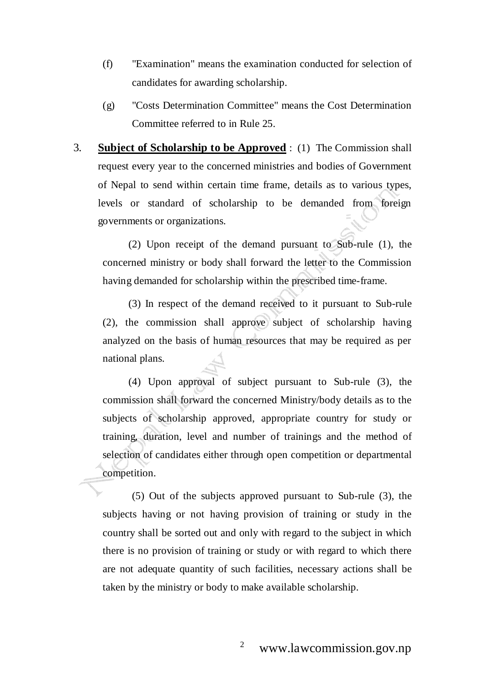- (f) "Examination" means the examination conducted for selection of candidates for awarding scholarship.
- (g) "Costs Determination Committee" means the Cost Determination Committee referred to in Rule 25.
- 3. **Subject of Scholarship to be Approved** : (1) The Commission shall request every year to the concerned ministries and bodies of Government of Nepal to send within certain time frame, details as to various types, levels or standard of scholarship to be demanded from foreign governments or organizations.

(2) Upon receipt of the demand pursuant to Sub-rule (1), the concerned ministry or body shall forward the letter to the Commission having demanded for scholarship within the prescribed time-frame.

(3) In respect of the demand received to it pursuant to Sub-rule (2), the commission shall approve subject of scholarship having analyzed on the basis of human resources that may be required as per national plans.

(4) Upon approval of subject pursuant to Sub-rule (3), the commission shall forward the concerned Ministry/body details as to the subjects of scholarship approved, appropriate country for study or training, duration, level and number of trainings and the method of selection of candidates either through open competition or departmental competition.

 (5) Out of the subjects approved pursuant to Sub-rule (3), the subjects having or not having provision of training or study in the country shall be sorted out and only with regard to the subject in which there is no provision of training or study or with regard to which there are not adequate quantity of such facilities, necessary actions shall be taken by the ministry or body to make available scholarship.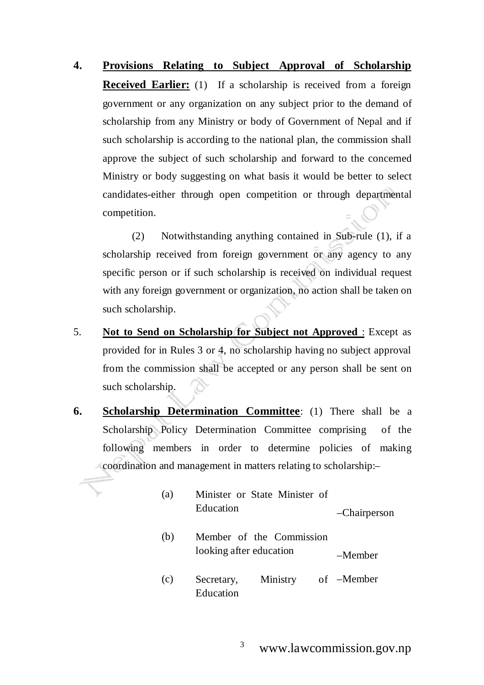**4. Provisions Relating to Subject Approval of Scholarship Received Earlier:** (1) If a scholarship is received from a foreign government or any organization on any subject prior to the demand of scholarship from any Ministry or body of Government of Nepal and if such scholarship is according to the national plan, the commission shall approve the subject of such scholarship and forward to the concerned Ministry or body suggesting on what basis it would be better to select candidates-either through open competition or through departmental competition.

 (2) Notwithstanding anything contained in Sub-rule (1), if a scholarship received from foreign government or any agency to any specific person or if such scholarship is received on individual request with any foreign government or organization, no action shall be taken on such scholarship.

- 5. **Not to Send on Scholarship for Subject not Approved** : Except as provided for in Rules 3 or 4, no scholarship having no subject approval from the commission shall be accepted or any person shall be sent on such scholarship.
- **6.** Scholarship Determination Committee: (1) There shall be a Scholarship Policy Determination Committee comprising of the following members in order to determine policies of making coordination and management in matters relating to scholarship:–

| (a) | Minister or State Minister of<br>Education          | -Chairperson |
|-----|-----------------------------------------------------|--------------|
| (b) | Member of the Commission<br>looking after education | -Member      |
| (c) | Ministry of –Member<br>Secretary,<br>Education      |              |

<sup>3</sup> www.lawcommission.gov.np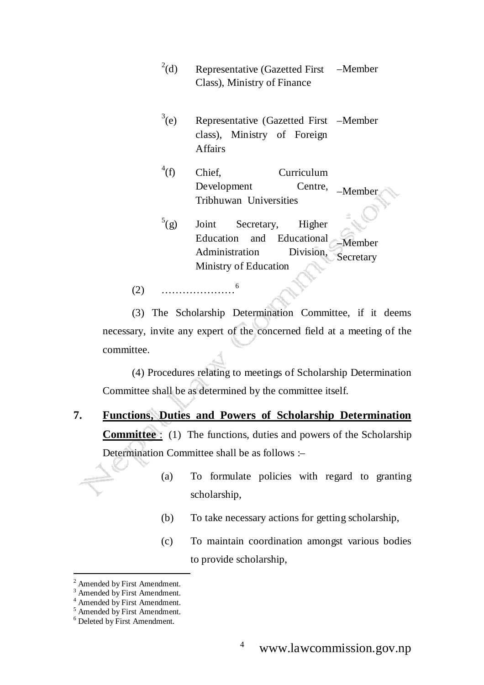- $^{2}$ (d) Representative (Gazetted First Class), Ministry of Finance –Member
- $3(e)$ (e) Representative (Gazetted First –Member class), Ministry of Foreign Affairs
- $^{4}(f)$ (f) Chief, Curriculum Development Centre, Tribhuwan Universities –Member
- $<sup>5</sup>(g)$ </sup> Joint Secretary, Higher Education and Educational Administration Division, Ministry of Education –Member **Secretary**
- $(2)$  …………………

(3) The Scholarship Determination Committee, if it deems necessary, invite any expert of the concerned field at a meeting of the committee.

(4) Procedures relating to meetings of Scholarship Determination Committee shall be as determined by the committee itself.

- **7. Functions, Duties and Powers of Scholarship Determination Committee**: (1) The functions, duties and powers of the Scholarship Determination Committee shall be as follows :–
	- (a) To formulate policies with regard to granting scholarship,
	- (b) To take necessary actions for getting scholarship,
	- (c) To maintain coordination amongst various bodies to provide scholarship,

<sup>2</sup> Amended by First Amendment.

<sup>&</sup>lt;sup>3</sup> Amended by First Amendment.

<sup>4</sup> Amended by First Amendment.

<sup>5</sup> Amended by First Amendment.

<sup>6</sup> Deleted by First Amendment.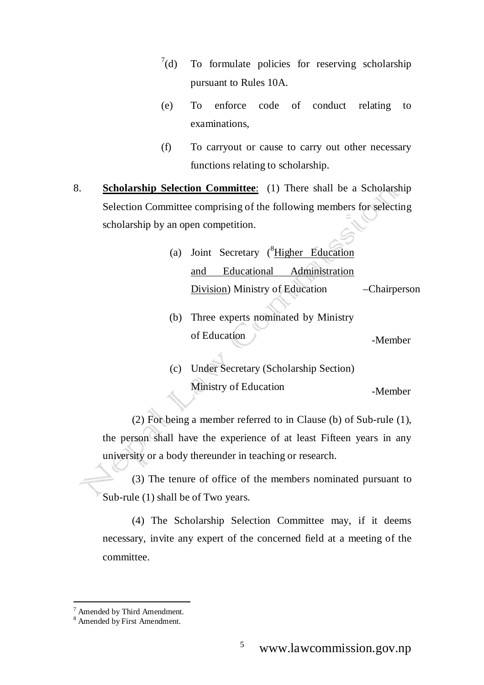- $^7$ (d) To formulate policies for reserving scholarship pursuant to Rules 10A.
- (e) To enforce code of conduct relating to examinations,
- (f) To carryout or cause to carry out other necessary functions relating to scholarship.
- 8. **Scholarship Selection Committee**: (1) There shall be a Scholarship Selection Committee comprising of the following members for selecting scholarship by an open competition.
	- (a) Joint Secretary (<sup>8</sup>Higher Education and Educational Administration Division) Ministry of Education –Chairperson
	- (b) Three experts nominated by Ministry of Education  $\blacksquare$
	- (c) Under Secretary (Scholarship Section) Ministry of Education -Member

(2) For being a member referred to in Clause (b) of Sub-rule (1), the person shall have the experience of at least Fifteen years in any university or a body thereunder in teaching or research.

(3) The tenure of office of the members nominated pursuant to Sub-rule (1) shall be of Two years.

(4) The Scholarship Selection Committee may, if it deems necessary, invite any expert of the concerned field at a meeting of the committee.

<sup>7</sup> Amended by Third Amendment.

<sup>8</sup> Amended by First Amendment.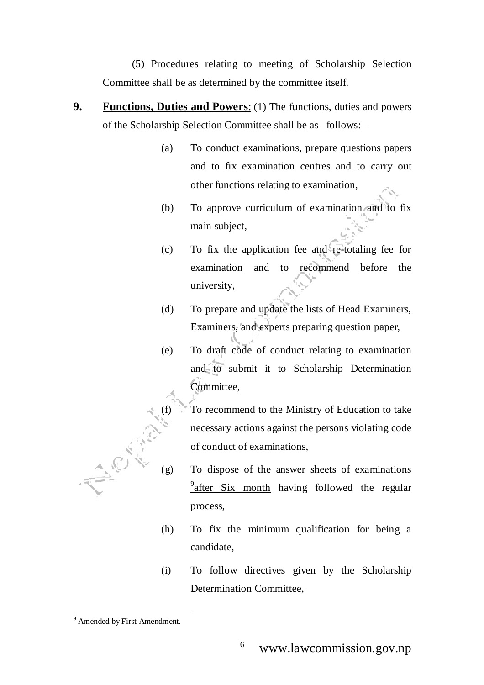(5) Procedures relating to meeting of Scholarship Selection Committee shall be as determined by the committee itself.

- **9. Functions, Duties and Powers**: (1) The functions, duties and powers of the Scholarship Selection Committee shall be as follows:–
	- (a) To conduct examinations, prepare questions papers and to fix examination centres and to carry out other functions relating to examination,
	- (b) To approve curriculum of examination and to fix main subject,
	- (c) To fix the application fee and re-totaling fee for examination and to recommend before the university,
	- (d) To prepare and update the lists of Head Examiners, Examiners, and experts preparing question paper,
	- (e) To draft code of conduct relating to examination and to submit it to Scholarship Determination Committee,
	- (f) To recommend to the Ministry of Education to take necessary actions against the persons violating code of conduct of examinations,
	- (g) To dispose of the answer sheets of examinations  $9^9$ after Six month having followed the regular process,
	- (h) To fix the minimum qualification for being a candidate,
	- (i) To follow directives given by the Scholarship Determination Committee,

<sup>&</sup>lt;sup>9</sup> Amended by First Amendment.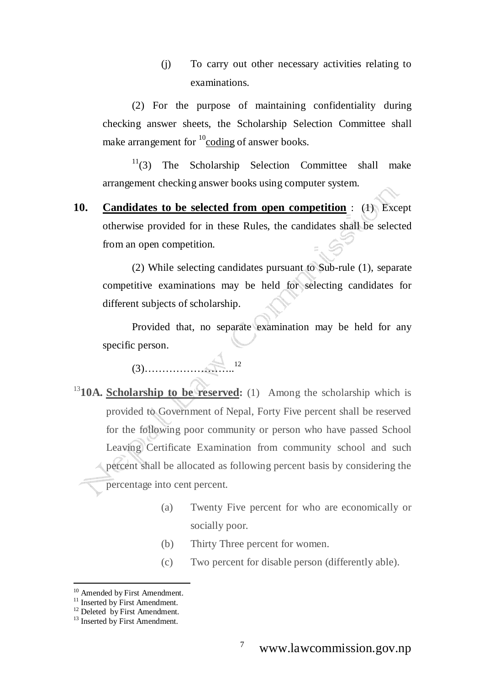(j) To carry out other necessary activities relating to examinations.

(2) For the purpose of maintaining confidentiality during checking answer sheets, the Scholarship Selection Committee shall make arrangement for  $^{10}$ coding of answer books.

 $11(3)$  The Scholarship Selection Committee shall make arrangement checking answer books using computer system.

**10. Candidates to be selected from open competition** : (1) Except otherwise provided for in these Rules, the candidates shall be selected from an open competition.

(2) While selecting candidates pursuant to Sub-rule (1), separate competitive examinations may be held for selecting candidates for different subjects of scholarship.

Provided that, no separate examination may be held for any specific person.

(3)……………………..<sup>12</sup>

- <sup>13</sup>10A. Scholarship to be **reserved**: (1) Among the scholarship which is provided to Government of Nepal, Forty Five percent shall be reserved for the following poor community or person who have passed School Leaving Certificate Examination from community school and such percent shall be allocated as following percent basis by considering the percentage into cent percent.
	- (a) Twenty Five percent for who are economically or socially poor.
	- (b) Thirty Three percent for women.
	- (c) Two percent for disable person (differently able).

<sup>&</sup>lt;sup>10</sup> Amended by First Amendment.

<sup>&</sup>lt;sup>11</sup> Inserted by First Amendment.

 $12$  Deleted by First Amendment.

<sup>&</sup>lt;sup>13</sup> Inserted by First Amendment.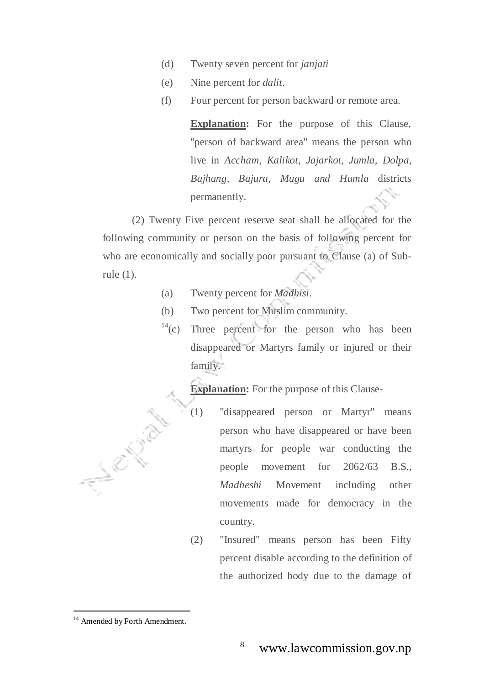- (d) Twenty seven percent for *janjati*
- (e) Nine percent for *dalit*.
- (f) Four percent for person backward or remote area.

**Explanation:** For the purpose of this Clause, "person of backward area" means the person who live in *Accham, Kalikot, Jajarkot, Jumla, Dolpa, Bajhang, Bajura, Mugu and Humla* districts permanently.

(2) Twenty Five percent reserve seat shall be allocated for the following community or person on the basis of following percent for who are economically and socially poor pursuant to Clause (a) of Subrule (1).

- (a) Twenty percent for *Madhisi*.
- (b) Two percent for Muslim community.
- $14$ (c) Three percent for the person who has been disappeared or Martyrs family or injured or their family.

**Explanation:** For the purpose of this Clause-

- (1) "disappeared person or Martyr" means person who have disappeared or have been martyrs for people war conducting the people movement for 2062/63 B.S., *Madheshi* Movement including other movements made for democracy in the country.
- (2) "Insured" means person has been Fifty percent disable according to the definition of the authorized body due to the damage of

<sup>&</sup>lt;sup>14</sup> Amended by Forth Amendment.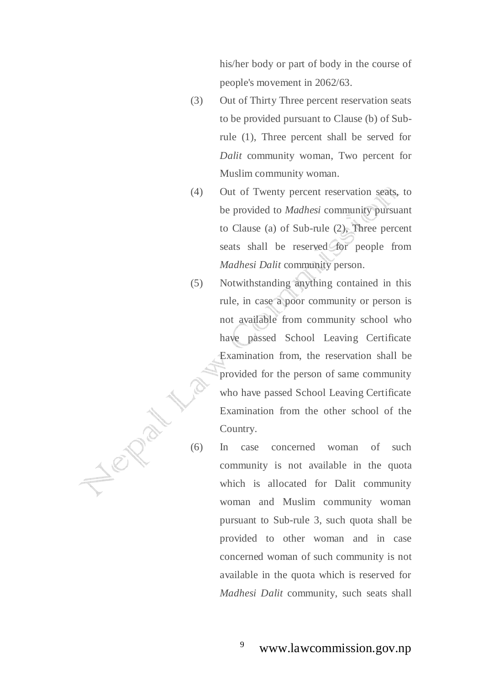his/her body or part of body in the course of people's movement in 2062/63.

- (3) Out of Thirty Three percent reservation seats to be provided pursuant to Clause (b) of Subrule (1), Three percent shall be served for *Dalit* community woman, Two percent for Muslim community woman.
- (4) Out of Twenty percent reservation seats, to be provided to *Madhesi* community pursuant to Clause (a) of Sub-rule (2), Three percent seats shall be reserved for people from *Madhesi Dalit* community person.
- (5) Notwithstanding anything contained in this rule, in case a poor community or person is not available from community school who have passed School Leaving Certificate Examination from, the reservation shall be provided for the person of same community who have passed School Leaving Certificate Examination from the other school of the Country.
- (6) In case concerned woman of such community is not available in the quota which is allocated for Dalit community woman and Muslim community woman pursuant to Sub-rule 3, such quota shall be provided to other woman and in case concerned woman of such community is not available in the quota which is reserved for *Madhesi Dalit* community, such seats shall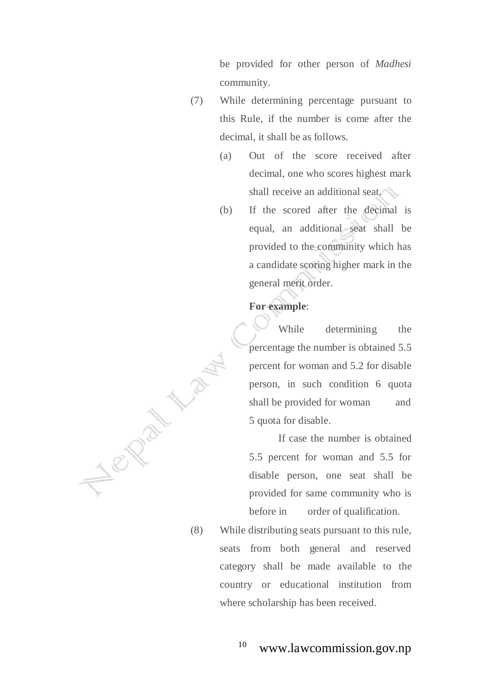be provided for other person of *Madhesi* community.

- (7) While determining percentage pursuant to this Rule, if the number is come after the decimal, it shall be as follows.
	- (a) Out of the score received after decimal, one who scores highest mark shall receive an additional seat.
	- (b) If the scored after the decimal is equal, an additional seat shall be provided to the community which has a candidate scoring higher mark in the general merit order.

## **For example**:

While determining the percentage the number is obtained 5.5 percent for woman and 5.2 for disable person, in such condition 6 quota shall be provided for woman and 5 quota for disable.

If case the number is obtained 5.5 percent for woman and 5.5 for disable person, one seat shall be provided for same community who is before in order of qualification.

(8) While distributing seats pursuant to this rule, seats from both general and reserved category shall be made available to the country or educational institution from where scholarship has been received.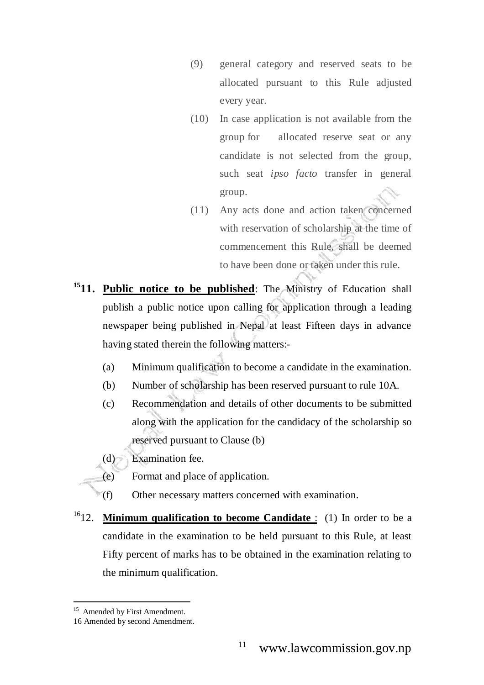- (9) general category and reserved seats to be allocated pursuant to this Rule adjusted every year.
- (10) In case application is not available from the group for allocated reserve seat or any candidate is not selected from the group, such seat *ipso facto* transfer in general group.
- (11) Any acts done and action taken concerned with reservation of scholarship at the time of commencement this Rule, shall be deemed to have been done or taken under this rule.
- <sup>15</sup>**11. Public notice to be published**: The Ministry of Education shall publish a public notice upon calling for application through a leading newspaper being published in Nepal at least Fifteen days in advance having stated therein the following matters:-
	- (a) Minimum qualification to become a candidate in the examination.
	- (b) Number of scholarship has been reserved pursuant to rule 10A.
	- (c) Recommendation and details of other documents to be submitted along with the application for the candidacy of the scholarship so reserved pursuant to Clause (b)
	- $(d)$  Examination fee.
	- (e) Format and place of application.
	- (f) Other necessary matters concerned with examination.
- <sup>16</sup>12. **Minimum qualification to become Candidate** : (1) In order to be a candidate in the examination to be held pursuant to this Rule, at least Fifty percent of marks has to be obtained in the examination relating to the minimum qualification.

<sup>&</sup>lt;sup>15</sup> Amended by First Amendment.

<sup>16</sup> Amended by second Amendment.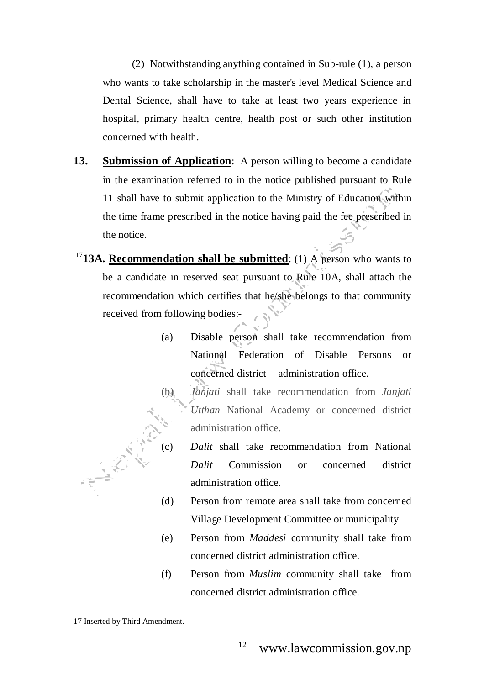(2) Notwithstanding anything contained in Sub-rule (1), a person who wants to take scholarship in the master's level Medical Science and Dental Science, shall have to take at least two years experience in hospital, primary health centre, health post or such other institution concerned with health.

- **13. Submission of Application**: A person willing to become a candidate in the examination referred to in the notice published pursuant to Rule 11 shall have to submit application to the Ministry of Education within the time frame prescribed in the notice having paid the fee prescribed in the notice.
- <sup>17</sup>**13A. Recommendation shall be submitted**: (1) A person who wants to be a candidate in reserved seat pursuant to Rule 10A, shall attach the recommendation which certifies that he/she belongs to that community received from following bodies:-
	- (a) Disable person shall take recommendation from National Federation of Disable Persons or concerned district administration office.
	- (b) *Janjati* shall take recommendation from *Janjati Utthan* National Academy or concerned district administration office.
	- (c) *Dalit* shall take recommendation from National *Dalit* Commission or concerned district administration office.
	- (d) Person from remote area shall take from concerned Village Development Committee or municipality.
	- (e) Person from *Maddesi* community shall take from concerned district administration office.
	- (f) Person from *Muslim* community shall take from concerned district administration office.

<sup>17</sup> Inserted by Third Amendment.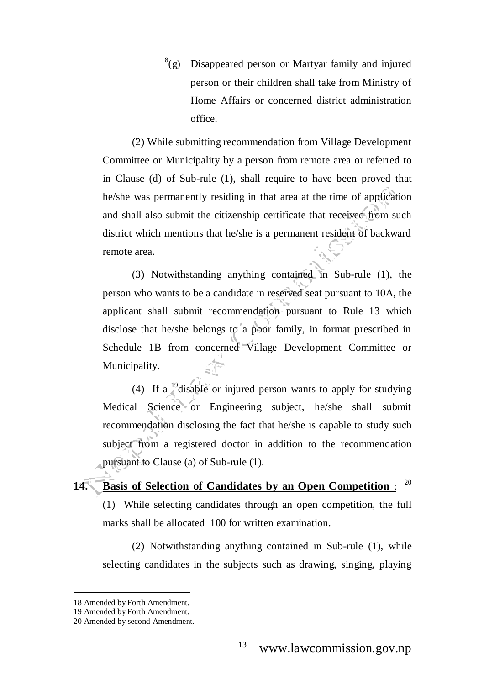$18$ (g) Disappeared person or Martyar family and injured person or their children shall take from Ministry of Home Affairs or concerned district administration office.

(2) While submitting recommendation from Village Development Committee or Municipality by a person from remote area or referred to in Clause (d) of Sub-rule (1), shall require to have been proved that he/she was permanently residing in that area at the time of application and shall also submit the citizenship certificate that received from such district which mentions that he/she is a permanent resident of backward remote area.

(3) Notwithstanding anything contained in Sub-rule (1), the person who wants to be a candidate in reserved seat pursuant to 10A, the applicant shall submit recommendation pursuant to Rule 13 which disclose that he/she belongs to a poor family, in format prescribed in Schedule 1B from concerned Village Development Committee or Municipality.

(4) If a <sup>19</sup> disable or injured person wants to apply for studying Medical Science or Engineering subject, he/she shall submit recommendation disclosing the fact that he/she is capable to study such subject from a registered doctor in addition to the recommendation pursuant to Clause (a) of Sub-rule (1).

# **14. Basis of Selection of Candidates by an Open Competition** :

(1) While selecting candidates through an open competition, the full marks shall be allocated 100 for written examination.

(2) Notwithstanding anything contained in Sub-rule (1), while selecting candidates in the subjects such as drawing, singing, playing

<sup>18</sup> Amended by Forth Amendment.

<sup>19</sup> Amended by Forth Amendment.

<sup>20</sup> Amended by second Amendment.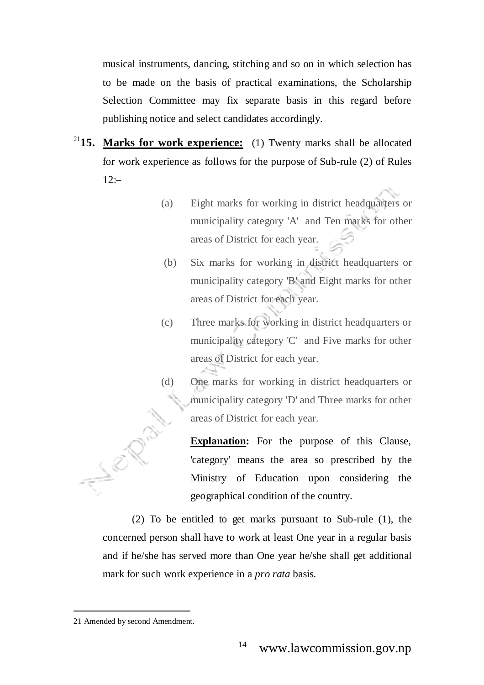musical instruments, dancing, stitching and so on in which selection has to be made on the basis of practical examinations, the Scholarship Selection Committee may fix separate basis in this regard before publishing notice and select candidates accordingly.

- <sup>21</sup>15. Marks for work experience: (1) Twenty marks shall be allocated for work experience as follows for the purpose of Sub-rule (2) of Rules  $12:–$ 
	- (a) Eight marks for working in district headquarters or municipality category 'A' and Ten marks for other areas of District for each year.
	- (b) Six marks for working in district headquarters or municipality category 'B' and Eight marks for other areas of District for each year.
	- (c) Three marks for working in district headquarters or municipality category 'C' and Five marks for other areas of District for each year.
	- (d) One marks for working in district headquarters or municipality category 'D' and Three marks for other areas of District for each year.

**Explanation:** For the purpose of this Clause, 'category' means the area so prescribed by the Ministry of Education upon considering the geographical condition of the country.

(2) To be entitled to get marks pursuant to Sub-rule (1), the concerned person shall have to work at least One year in a regular basis and if he/she has served more than One year he/she shall get additional mark for such work experience in a *pro rata* basis.

<sup>21</sup> Amended by second Amendment.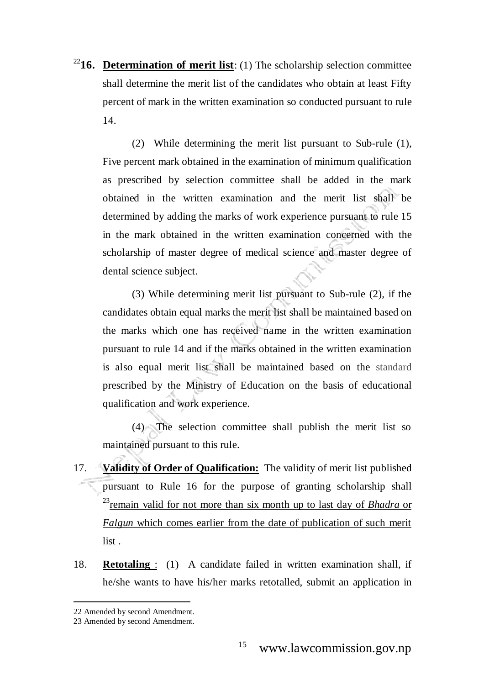<sup>22</sup>16. Determination of merit list: (1) The scholarship selection committee shall determine the merit list of the candidates who obtain at least Fifty percent of mark in the written examination so conducted pursuant to rule 14.

(2) While determining the merit list pursuant to Sub-rule (1), Five percent mark obtained in the examination of minimum qualification as prescribed by selection committee shall be added in the mark obtained in the written examination and the merit list shall be determined by adding the marks of work experience pursuant to rule 15 in the mark obtained in the written examination concerned with the scholarship of master degree of medical science and master degree of dental science subject.

(3) While determining merit list pursuant to Sub-rule (2), if the candidates obtain equal marks the merit list shall be maintained based on the marks which one has received name in the written examination pursuant to rule 14 and if the marks obtained in the written examination is also equal merit list shall be maintained based on the standard prescribed by the Ministry of Education on the basis of educational qualification and work experience.

(4) The selection committee shall publish the merit list so maintained pursuant to this rule.

- 17. **Validity of Order of Qualification:** The validity of merit list published pursuant to Rule 16 for the purpose of granting scholarship shall <sup>23</sup>remain valid for not more than six month up to last day of *Bhadra* or *Falgun* which comes earlier from the date of publication of such merit list .
- 18. **Retotaling** : (1) A candidate failed in written examination shall, if he/she wants to have his/her marks retotalled, submit an application in

<sup>22</sup> Amended by second Amendment.

<sup>23</sup> Amended by second Amendment.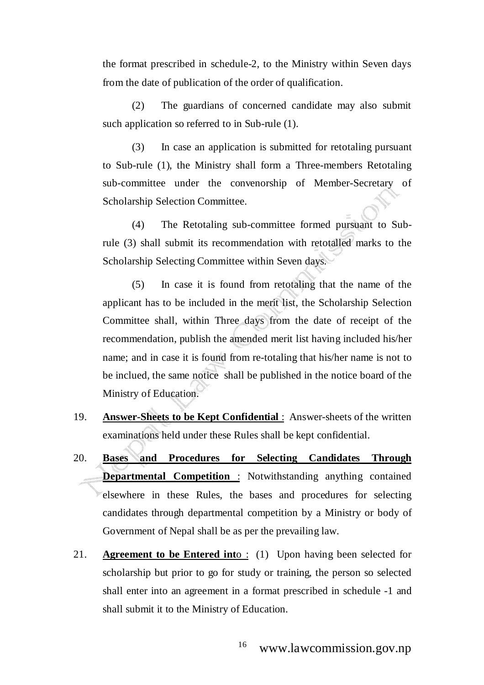the format prescribed in schedule-2, to the Ministry within Seven days from the date of publication of the order of qualification.

 (2) The guardians of concerned candidate may also submit such application so referred to in Sub-rule (1).

 (3) In case an application is submitted for retotaling pursuant to Sub-rule (1), the Ministry shall form a Three-members Retotaling sub-committee under the convenorship of Member-Secretary of Scholarship Selection Committee.

 (4) The Retotaling sub-committee formed pursuant to Subrule (3) shall submit its recommendation with retotalled marks to the Scholarship Selecting Committee within Seven days.

 (5) In case it is found from retotaling that the name of the applicant has to be included in the merit list, the Scholarship Selection Committee shall, within Three days from the date of receipt of the recommendation, publish the amended merit list having included his/her name; and in case it is found from re-totaling that his/her name is not to be inclued, the same notice shall be published in the notice board of the Ministry of Education.

- 19. **Answer-Sheets to be Kept Confidential** : Answer-sheets of the written examinations held under these Rules shall be kept confidential.
- 20. **Bases and Procedures for Selecting Candidates Through Departmental Competition** : Notwithstanding anything contained elsewhere in these Rules, the bases and procedures for selecting candidates through departmental competition by a Ministry or body of Government of Nepal shall be as per the prevailing law.
- 21. **Agreement to be Entered int**o : (1) Upon having been selected for scholarship but prior to go for study or training, the person so selected shall enter into an agreement in a format prescribed in schedule -1 and shall submit it to the Ministry of Education.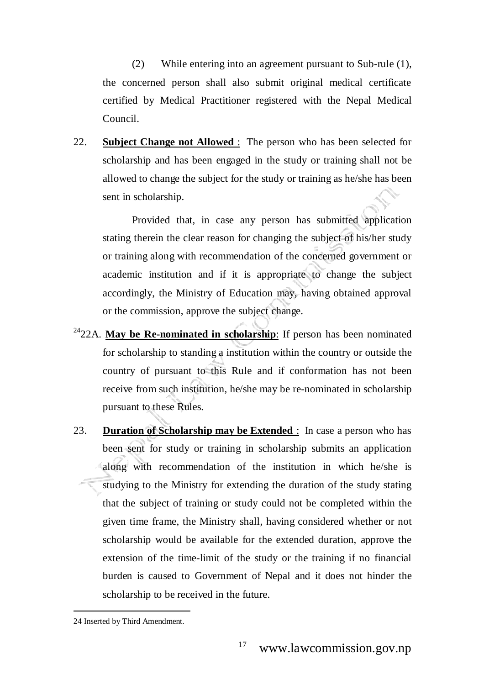(2) While entering into an agreement pursuant to Sub-rule (1), the concerned person shall also submit original medical certificate certified by Medical Practitioner registered with the Nepal Medical Council.

22. **Subject Change not Allowed** : The person who has been selected for scholarship and has been engaged in the study or training shall not be allowed to change the subject for the study or training as he/she has been sent in scholarship.

 Provided that, in case any person has submitted application stating therein the clear reason for changing the subject of his/her study or training along with recommendation of the concerned government or academic institution and if it is appropriate to change the subject accordingly, the Ministry of Education may, having obtained approval or the commission, approve the subject change.

- <sup>24</sup>22A. May be Re-nominated in scholarship: If person has been nominated for scholarship to standing a institution within the country or outside the country of pursuant to this Rule and if conformation has not been receive from such institution, he/she may be re-nominated in scholarship pursuant to these Rules.
- 23. **Duration of Scholarship may be Extended** : In case a person who has been sent for study or training in scholarship submits an application along with recommendation of the institution in which he/she is studying to the Ministry for extending the duration of the study stating that the subject of training or study could not be completed within the given time frame, the Ministry shall, having considered whether or not scholarship would be available for the extended duration, approve the extension of the time-limit of the study or the training if no financial burden is caused to Government of Nepal and it does not hinder the scholarship to be received in the future.

<sup>24</sup> Inserted by Third Amendment.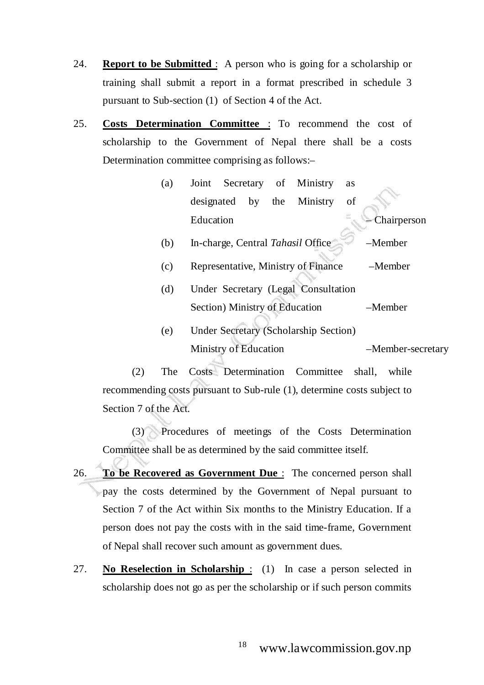- 24. **Report to be Submitted** : A person who is going for a scholarship or training shall submit a report in a format prescribed in schedule 3 pursuant to Sub-section (1) of Section 4 of the Act.
- 25. **Costs Determination Committee** : To recommend the cost of scholarship to the Government of Nepal there shall be a costs Determination committee comprising as follows:–
	- (a) Joint Secretary of Ministry as designated by the Ministry of Education – Chairperson
	- (b) In-charge, Central *Tahasil* Office –Member
	- (c) Representative, Ministry of Finance –Member
	- (d) Under Secretary (Legal Consultation Section) Ministry of Education –Member
	- (e) Under Secretary (Scholarship Section) Ministry of Education – Member-secretary

 (2) The Costs Determination Committee shall, while recommending costs pursuant to Sub-rule (1), determine costs subject to Section 7 of the Act.

 (3) Procedures of meetings of the Costs Determination Committee shall be as determined by the said committee itself.

- 26. **To be Recovered as Government Due** : The concerned person shall pay the costs determined by the Government of Nepal pursuant to Section 7 of the Act within Six months to the Ministry Education. If a person does not pay the costs with in the said time-frame, Government of Nepal shall recover such amount as government dues.
- 27. **No Reselection in Scholarship** : (1) In case a person selected in scholarship does not go as per the scholarship or if such person commits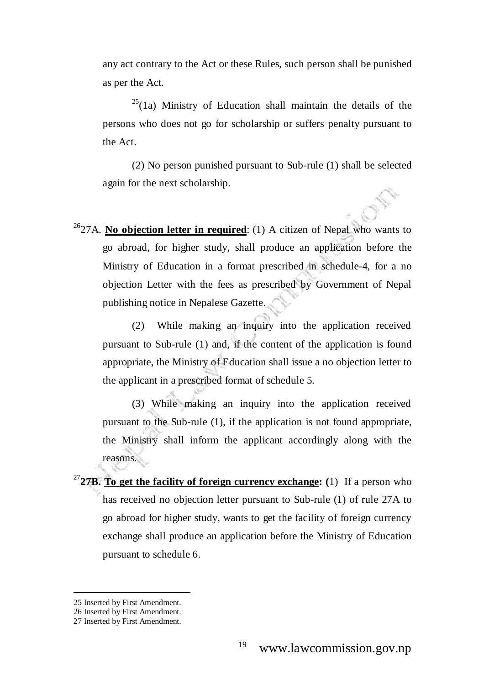any act contrary to the Act or these Rules, such person shall be punished as per the Act.

 $25(1a)$  Ministry of Education shall maintain the details of the persons who does not go for scholarship or suffers penalty pursuant to the Act.

(2) No person punished pursuant to Sub-rule (1) shall be selected again for the next scholarship.

<sup>26</sup>27A. No objection letter in required: (1) A citizen of Nepal who wants to go abroad, for higher study, shall produce an application before the Ministry of Education in a format prescribed in schedule-4, for a no objection Letter with the fees as prescribed by Government of Nepal publishing notice in Nepalese Gazette.

(2) While making an inquiry into the application received pursuant to Sub-rule (1) and, if the content of the application is found appropriate, the Ministry of Education shall issue a no objection letter to the applicant in a prescribed format of schedule 5.

(3) While making an inquiry into the application received pursuant to the Sub-rule (1), if the application is not found appropriate, the Ministry shall inform the applicant accordingly along with the reasons.

<sup>27</sup>27B. To get the facility of foreign currency exchange: (1) If a person who has received no objection letter pursuant to Sub-rule (1) of rule 27A to go abroad for higher study, wants to get the facility of foreign currency exchange shall produce an application before the Ministry of Education pursuant to schedule 6.

<sup>25</sup> Inserted by First Amendment.

<sup>26</sup> Inserted by First Amendment.

<sup>27</sup> Inserted by First Amendment.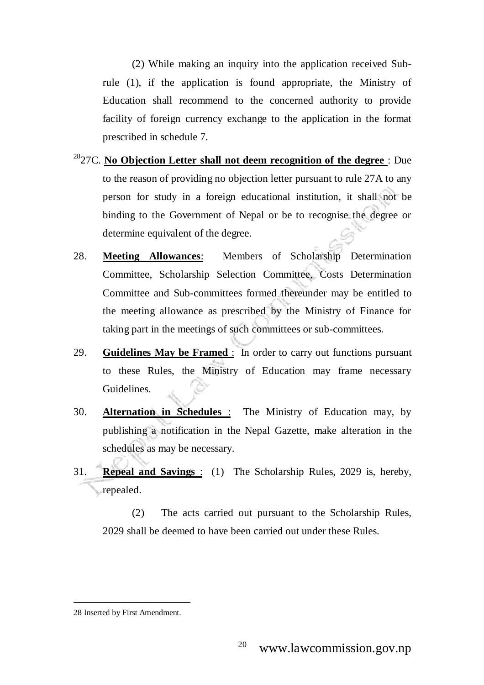(2) While making an inquiry into the application received Subrule (1), if the application is found appropriate, the Ministry of Education shall recommend to the concerned authority to provide facility of foreign currency exchange to the application in the format prescribed in schedule 7.

- <sup>28</sup>27C. **No Objection Letter shall not deem recognition of the degree** : Due to the reason of providing no objection letter pursuant to rule 27A to any person for study in a foreign educational institution, it shall not be binding to the Government of Nepal or be to recognise the degree or determine equivalent of the degree.
- 28. **Meeting Allowances**: Members of Scholarship Determination Committee, Scholarship Selection Committee, Costs Determination Committee and Sub-committees formed thereunder may be entitled to the meeting allowance as prescribed by the Ministry of Finance for taking part in the meetings of such committees or sub-committees.
- 29. **Guidelines May be Framed** : In order to carry out functions pursuant to these Rules, the Ministry of Education may frame necessary Guidelines.
- 30. **Alternation in Schedules** : The Ministry of Education may, by publishing a notification in the Nepal Gazette, make alteration in the schedules as may be necessary.
- 31. **Repeal and Savings** : (1) The Scholarship Rules, 2029 is, hereby, repealed.

 (2) The acts carried out pursuant to the Scholarship Rules, 2029 shall be deemed to have been carried out under these Rules.

<sup>28</sup> Inserted by First Amendment.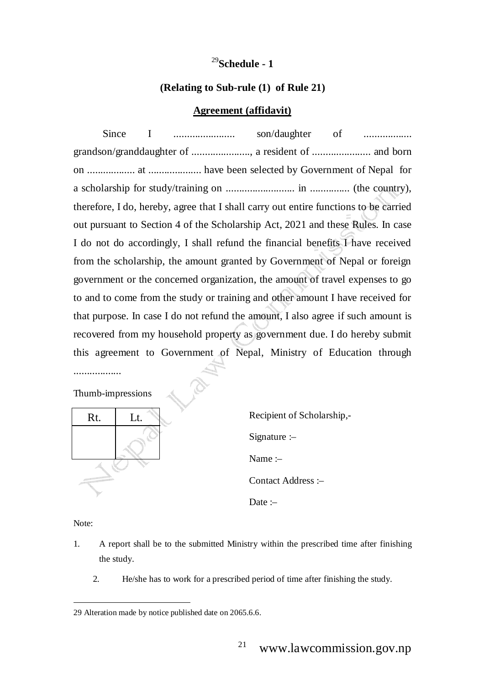# <sup>29</sup>**Schedule - 1**

## **(Relating to Sub-rule (1) of Rule 21)**

#### **Agreement (affidavit)**

 Since I ....................... son/daughter of .................. grandson/granddaughter of ......................, a resident of ...................... and born on .................. at .................... have been selected by Government of Nepal for a scholarship for study/training on .......................... in ............... (the country), therefore, I do, hereby, agree that I shall carry out entire functions to be carried out pursuant to Section 4 of the Scholarship Act, 2021 and these Rules. In case I do not do accordingly, I shall refund the financial benefits I have received from the scholarship, the amount granted by Government of Nepal or foreign government or the concerned organization, the amount of travel expenses to go to and to come from the study or training and other amount I have received for that purpose. In case I do not refund the amount, I also agree if such amount is recovered from my household property as government due. I do hereby submit this agreement to Government of Nepal, Ministry of Education through

..................

Thumb-impressions



**T** *I*. Recipient of Scholarship,-Signature :– Name :– Contact Address :– Date :-

Note:

- 1. A report shall be to the submitted Ministry within the prescribed time after finishing the study.
	- 2. He/she has to work for a prescribed period of time after finishing the study.

<sup>29</sup> Alteration made by notice published date on 2065.6.6.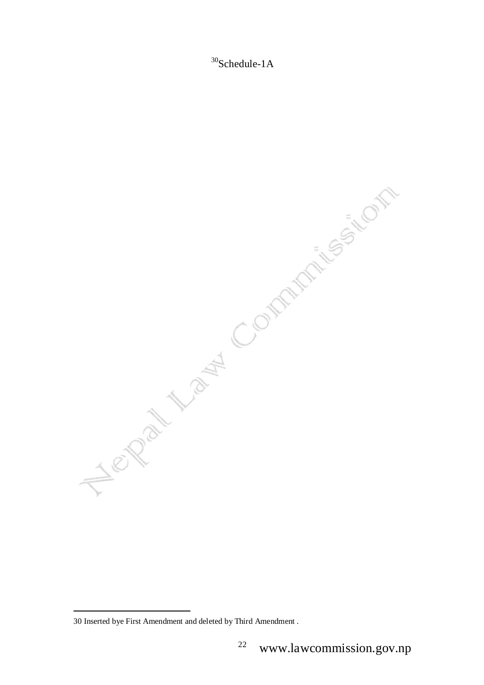<sup>30</sup>Schedule-1A

New Mary Mary Communities of the Only

<sup>30</sup> Inserted bye First Amendment and deleted by Third Amendment .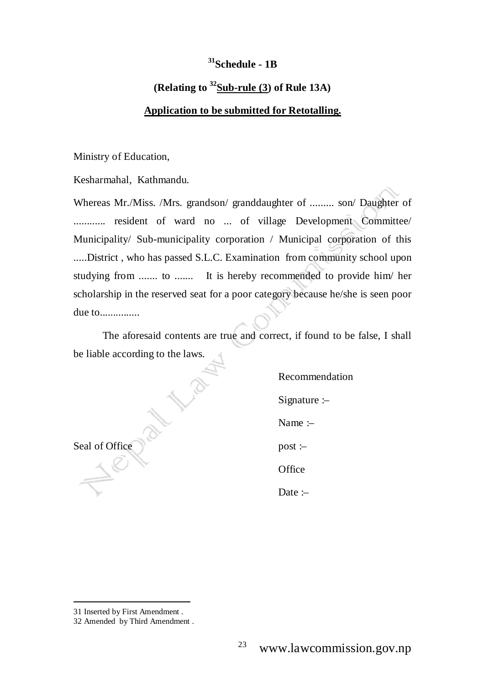# **<sup>31</sup>Schedule - 1B**

# **(Relating to <sup>32</sup>Sub-rule (3) of Rule 13A)**

#### **Application to be submitted for Retotalling.**

Ministry of Education,

Kesharmahal, Kathmandu.

Whereas Mr./Miss. /Mrs. grandson/ granddaughter of ......... son/ Daughter of ............ resident of ward no ... of village Development Committee/ Municipality/ Sub-municipality corporation / Municipal corporation of this .....District , who has passed S.L.C. Examination from community school upon studying from ....... to ....... It is hereby recommended to provide him/ her scholarship in the reserved seat for a poor category because he/she is seen poor due to...............

 The aforesaid contents are true and correct, if found to be false, I shall be liable according to the laws.

> Recommendation Signature :– Name :– **Office** Date :–

Seal of Office post :-

<sup>31</sup> Inserted by First Amendment .

<sup>32</sup> Amended by Third Amendment .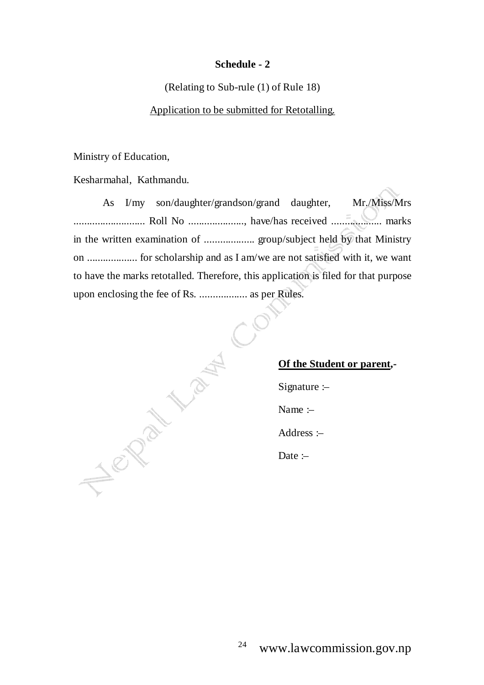#### **Schedule - 2**

(Relating to Sub-rule (1) of Rule 18)

Application to be submitted for Retotalling.

Ministry of Education,

Kesharmahal, Kathmandu.

 As I/my son/daughter/grandson/grand daughter, Mr./Miss/Mrs ........................... Roll No ....................., have/has received ................... marks in the written examination of ................... group/subject held by that Ministry on ................... for scholarship and as I am/we are not satisfied with it, we want to have the marks retotalled. Therefore, this application is filed for that purpose upon enclosing the fee of Rs. .................. as per Rules.

#### **Of the Student or parent,-**

Signature :–

Name :–

Address :–

Date :–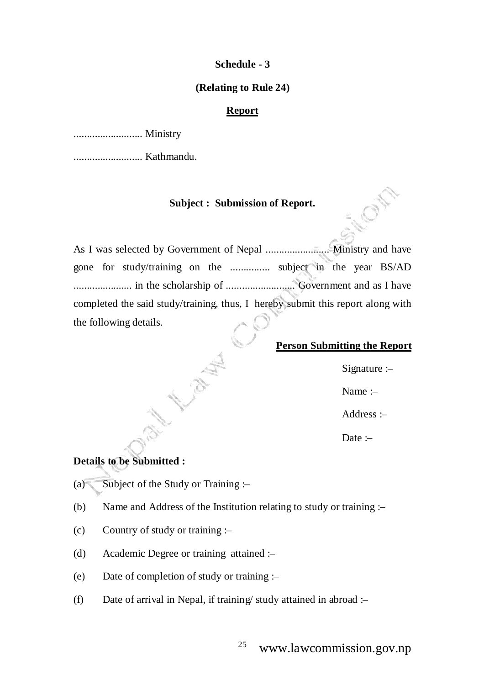#### **Schedule - 3**

#### **(Relating to Rule 24)**

#### **Report**

.......................... Ministry

.......................... Kathmandu.

#### **Subject : Submission of Report.**

As I was selected by Government of Nepal ........................ Ministry and have gone for study/training on the ............... subject in the year BS/AD ...................... in the scholarship of .......................... Government and as I have completed the said study/training, thus, I hereby submit this report along with the following details.

## **Person Submitting the Report**

Signature :–

Name :–

Address :–

Date :-

## **Details to be Submitted :**

(a) Subject of the Study or Training :–

**Verify** 

- (b) Name and Address of the Institution relating to study or training :–
- (c) Country of study or training :-
- (d) Academic Degree or training attained :–
- (e) Date of completion of study or training :–
- (f) Date of arrival in Nepal, if training/ study attained in abroad :–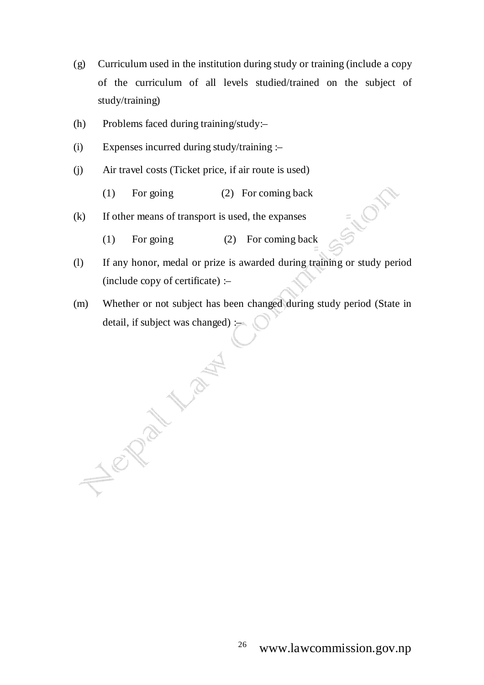- (g) Curriculum used in the institution during study or training (include a copy of the curriculum of all levels studied/trained on the subject of study/training)
- (h) Problems faced during training/study:–

Newar Martin

- (i) Expenses incurred during study/training :–
- (j) Air travel costs (Ticket price, if air route is used)
	- (1) For going (2) For coming back
- (k) If other means of transport is used, the expanses
	- (1) For going (2) For coming back
- (l) If any honor, medal or prize is awarded during training or study period (include copy of certificate) :–
- (m) Whether or not subject has been changed during study period (State in detail, if subject was changed) :–

**SILON**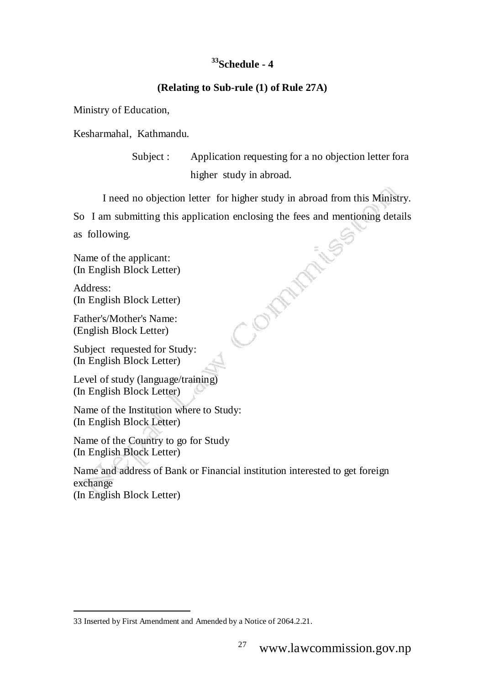# **<sup>33</sup>Schedule - 4**

## **(Relating to Sub-rule (1) of Rule 27A)**

Ministry of Education,

Kesharmahal, Kathmandu.

Subject : Application requesting for a no objection letter fora higher study in abroad.

I need no objection letter for higher study in abroad from this Ministry.

So I am submitting this application enclosing the fees and mentioning details<br>as following.<br>Name of the applicant:<br>(In English Block Letter)<br>Address:<br>(In English Block Letter)<br>Father's/Mother's Name:<br>(English Block Letter)

as following.

Name of the applicant: (In English Block Letter)

Address: (In English Block Letter)

Father's/Mother's Name: (English Block Letter)

Subject requested for Study: (In English Block Letter)

Level of study (language/training) (In English Block Letter)

Name of the Institution where to Study: (In English Block Letter)

Name of the Country to go for Study (In English Block Letter)

Name and address of Bank or Financial institution interested to get foreign exchange (In English Block Letter)

<sup>33</sup> Inserted by First Amendment and Amended by a Notice of 2064.2.21.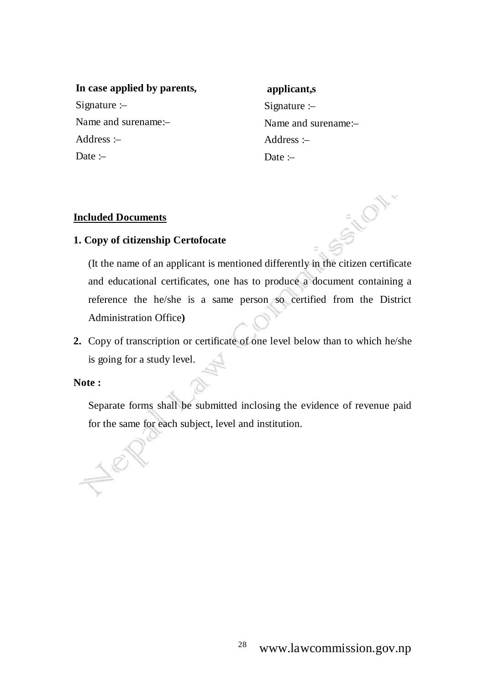## **In case applied by parents,**

Signature :– Name and surename:– Address :– Date :-

# **applicant,s**  Signature :– Name and surename:– Address :– Date :-

**SILON** 

## **Included Documents**

## **1. Copy of citizenship Certofocate**

(It the name of an applicant is mentioned differently in the citizen certificate and educational certificates, one has to produce a document containing a reference the he/she is a same person so certified from the District Administration Office**)** 

**2.** Copy of transcription or certificate of one level below than to which he/she is going for a study level.

## **Note :**

 Separate forms shall be submitted inclosing the evidence of revenue paid for the same for each subject, level and institution.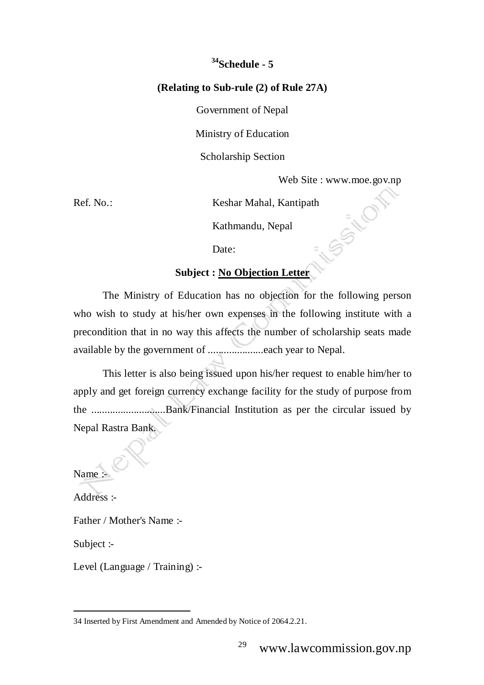# **<sup>34</sup>Schedule - 5**

#### **(Relating to Sub-rule (2) of Rule 27A)**

Government of Nepal

Ministry of Education

Scholarship Section

Web Site : www.moe.gov.np<br>Kantipath<br>epal<br>=

Ref. No.: Keshar Mahal, Kantipath

Kathmandu, Nepal

Date:

#### **Subject : No Objection Letter**

 The Ministry of Education has no objection for the following person who wish to study at his/her own expenses in the following institute with a precondition that in no way this affects the number of scholarship seats made available by the government of .....................each year to Nepal.

 This letter is also being issued upon his/her request to enable him/her to apply and get foreign currency exchange facility for the study of purpose from the ............................Bank/Financial Institution as per the circular issued by Nepal Rastra Bank.

Name:

Address :-

Father / Mother's Name :-

Subject :-

Level (Language / Training) :-

<sup>34</sup> Inserted by First Amendment and Amended by Notice of 2064.2.21.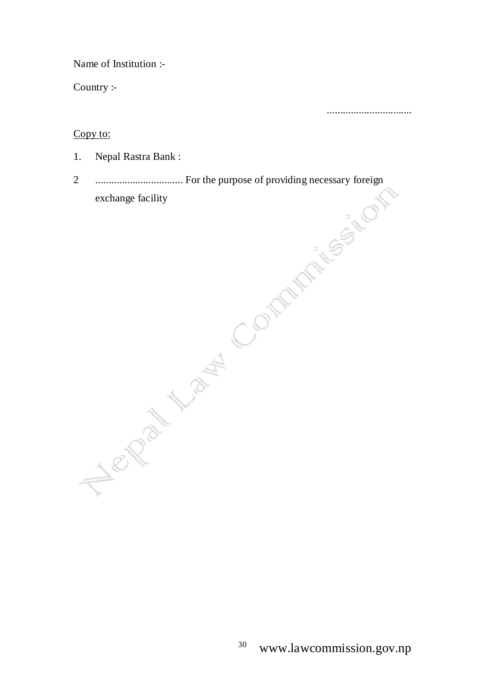Name of Institution :-

Country :-

................................

#### Copy to:

- 1. Nepal Rastra Bank :
- 2 ................................. For the purpose of providing necessary foreign exchange facility

www.lawcommission.gov.np <sup>30</sup>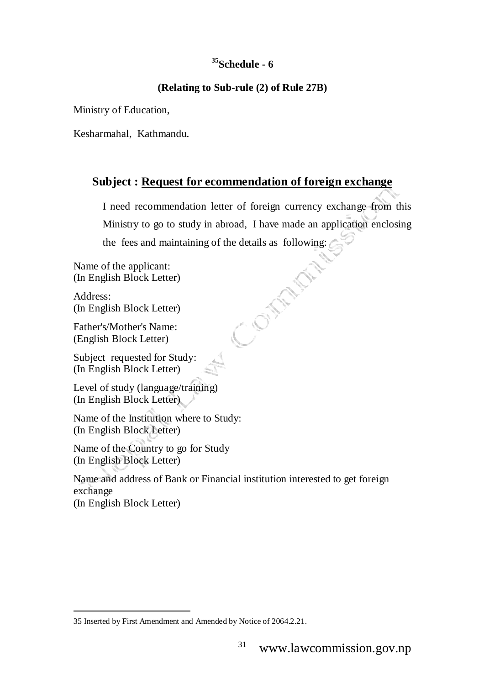# **<sup>35</sup>Schedule - 6**

## **(Relating to Sub-rule (2) of Rule 27B)**

Ministry of Education,

Kesharmahal, Kathmandu.

# **Subject : Request for ecommendation of foreign exchange**

I need recommendation letter of foreign currency exchange from this Ministry to go to study in abroad, I have made an application enclosing the fees and maintaining of the details as following:<br>
of the applicant:<br>
glish Block Letter)<br>
ss:<br>
glish Block Letter)<br>
's/Mother's Name:<br>
sh Block Letter

Name of the applicant: (In English Block Letter)

Address: (In English Block Letter)

Father's/Mother's Name: (English Block Letter)

Subject requested for Study: (In English Block Letter)

Level of study (language/training) (In English Block Letter)

Name of the Institution where to Study: (In English Block Letter)

Name of the Country to go for Study (In English Block Letter)

Name and address of Bank or Financial institution interested to get foreign exchange (In English Block Letter)

<sup>35</sup> Inserted by First Amendment and Amended by Notice of 2064.2.21.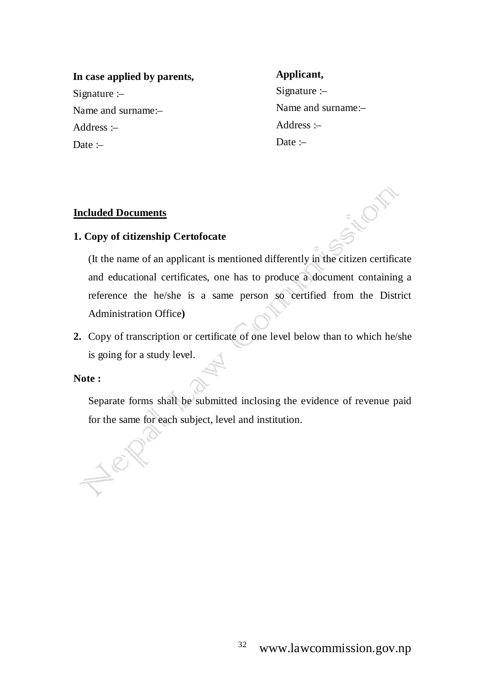# **In case applied by parents,**  Signature :– Name and surname:– Address :– Date :–

## **Applicant,**

Signature :– Name and surname:– Address :– Date  $\coloneq$ 

**FILOT** 

## **Included Documents**

## **1. Copy of citizenship Certofocate**

(It the name of an applicant is mentioned differently in the citizen certificate and educational certificates, one has to produce a document containing a reference the he/she is a same person so certified from the District Administration Office**)** 

**2.** Copy of transcription or certificate of one level below than to which he/she is going for a study level.

#### **Note :**

Separate forms shall be submitted inclosing the evidence of revenue paid for the same for each subject, level and institution.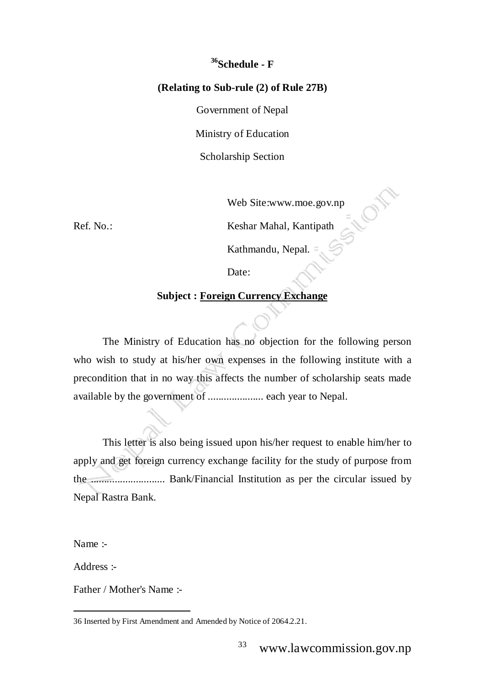# **<sup>36</sup>Schedule - F**

#### **(Relating to Sub-rule (2) of Rule 27B)**

Government of Nepal

Ministry of Education

Scholarship Section

Web Site:www.moe.gov.np<br>Keshar Mahal, Kanti Ref. No.: Keshar Mahal, Kantipath

Kathmandu, Nepal.

Date:

#### **Subject : Foreign Currency Exchange**

 The Ministry of Education has no objection for the following person who wish to study at his/her own expenses in the following institute with a precondition that in no way this affects the number of scholarship seats made available by the government of ..................... each year to Nepal.

 This letter is also being issued upon his/her request to enable him/her to apply and get foreign currency exchange facility for the study of purpose from the ............................ Bank/Financial Institution as per the circular issued by Nepal Rastra Bank.

Name :-

Address :-

Father / Mother's Name :-

<sup>36</sup> Inserted by First Amendment and Amended by Notice of 2064.2.21.